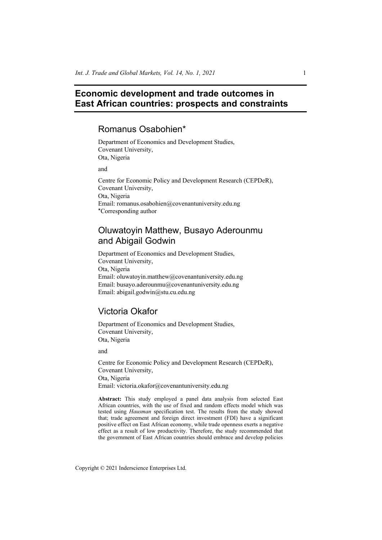# **Economic development and trade outcomes in East African countries: prospects and constraints**

# Romanus Osabohien\*

Department of Economics and Development Studies, Covenant University, Ota, Nigeria

and

Centre for Economic Policy and Development Research (CEPDeR), Covenant University, Ota, Nigeria Email: romanus.osabohien@covenantuniversity.edu.ng \*Corresponding author

# Oluwatoyin Matthew, Busayo Aderounmu and Abigail Godwin

Department of Economics and Development Studies, Covenant University, Ota, Nigeria Email: oluwatoyin.matthew@covenantuniversity.edu.ng Email: busayo.aderounmu@covenantuniversity.edu.ng Email: abigail.godwin@stu.cu.edu.ng

# Victoria Okafor

Department of Economics and Development Studies, Covenant University, Ota, Nigeria

and

Centre for Economic Policy and Development Research (CEPDeR), Covenant University, Ota, Nigeria Email: victoria.okafor@covenantuniversity.edu.ng

**Abstract:** This study employed a panel data analysis from selected East African countries, with the use of fixed and random effects model which was tested using *Hausman* specification test. The results from the study showed that; trade agreement and foreign direct investment (FDI) have a significant positive effect on East African economy, while trade openness exerts a negative effect as a result of low productivity. Therefore, the study recommended that the government of East African countries should embrace and develop policies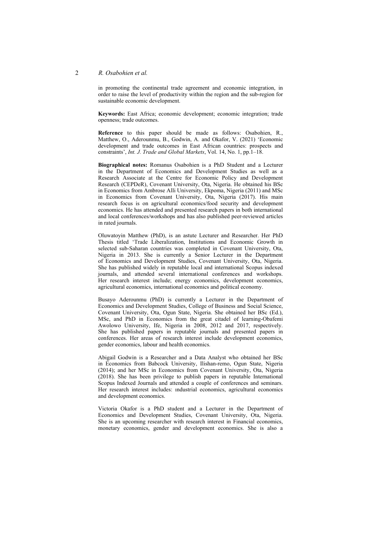#### 2 *R. Osabohien et al.*

in promoting the continental trade agreement and economic integration, in order to raise the level of productivity within the region and the sub-region for sustainable economic development.

**Keywords:** East Africa; economic development; economic integration; trade openness; trade outcomes.

**Reference** to this paper should be made as follows: Osabohien, R., Matthew, O., Aderounmu, B., Godwin, A. and Okafor, V. (2021) 'Economic development and trade outcomes in East African countries: prospects and constraints', *Int. J. Trade and Global Markets*, Vol. 14, No. 1, pp.1–18.

**Biographical notes:** Romanus Osabohien is a PhD Student and a Lecturer in the Department of Economics and Development Studies as well as a Research Associate at the Centre for Economic Policy and Development Research (CEPDeR), Covenant University, Ota, Nigeria. He obtained his BSc in Economics from Ambrose Alli University, Ekpoma, Nigeria (2011) and MSc in Economics from Covenant University, Ota, Nigeria (2017). His main research focus is on agricultural economics/food security and development economics. He has attended and presented research papers in both international and local conferences/workshops and has also published peer-reviewed articles in rated journals.

Oluwatoyin Matthew (PhD), is an astute Lecturer and Researcher. Her PhD Thesis titled 'Trade Liberalization, Institutions and Economic Growth in selected sub-Saharan countries was completed in Covenant University, Ota, Nigeria in 2013. She is currently a Senior Lecturer in the Department of Economics and Development Studies, Covenant University, Ota, Nigeria. She has published widely in reputable local and international Scopus indexed journals, and attended several international conferences and workshops. Her research interest include; energy economics, development economics, agricultural economics, international economics and political economy.

Busayo Aderounmu (PhD) is currently a Lecturer in the Department of Economics and Development Studies, College of Business and Social Science, Covenant University, Ota, Ogun State, Nigeria. She obtained her BSc (Ed.), MSc, and PhD in Economics from the great citadel of learning-Obafemi Awolowo University, Ife, Nigeria in 2008, 2012 and 2017, respectively. She has published papers in reputable journals and presented papers in conferences. Her areas of research interest include development economics, gender economics, labour and health economics.

Abigail Godwin is a Researcher and a Data Analyst who obtained her BSc in Economics from Babcock University, Ilishan-remo, Ogun State, Nigeria (2014); and her MSc in Economics from Covenant University, Ota, Nigeria (2018). She has been privilege to publish papers in reputable International Scopus Indexed Journals and attended a couple of conferences and seminars. Her research interest includes: ındustrial economics, agricultural economics and development economics.

Victoria Okafor is a PhD student and a Lecturer in the Department of Economics and Development Studies, Covenant University, Ota, Nigeria. She is an upcoming researcher with research interest in Financial economics, monetary economics, gender and development economics. She is also a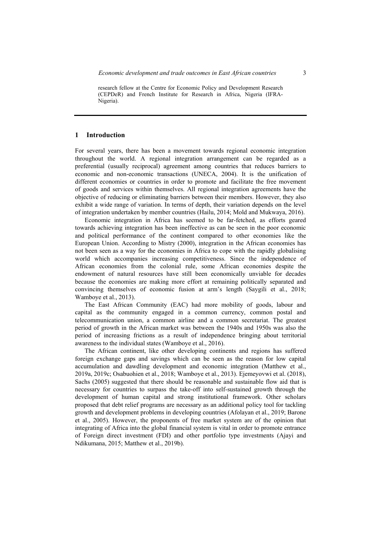research fellow at the Centre for Economic Policy and Development Research (CEPDeR) and French Institute for Research in Africa, Nigeria (IFRA-Nigeria).

#### **1 Introduction**

For several years, there has been a movement towards regional economic integration throughout the world. A regional integration arrangement can be regarded as a preferential (usually reciprocal) agreement among countries that reduces barriers to economic and non-economic transactions (UNECA, 2004). It is the unification of different economies or countries in order to promote and facilitate the free movement of goods and services within themselves. All regional integration agreements have the objective of reducing or eliminating barriers between their members. However, they also exhibit a wide range of variation. In terms of depth, their variation depends on the level of integration undertaken by member countries (Hailu, 2014; Mold and Mukwaya, 2016).

Economic integration in Africa has seemed to be far-fetched, as efforts geared towards achieving integration has been ineffective as can be seen in the poor economic and political performance of the continent compared to other economies like the European Union. According to Mistry (2000), integration in the African economies has not been seen as a way for the economies in Africa to cope with the rapidly globalising world which accompanies increasing competitiveness. Since the independence of African economies from the colonial rule, some African economies despite the endowment of natural resources have still been economically unviable for decades because the economies are making more effort at remaining politically separated and convincing themselves of economic fusion at arm's length (Saygili et al., 2018; Wamboye et al., 2013).

The East African Community (EAC) had more mobility of goods, labour and capital as the community engaged in a common currency, common postal and telecommunication union, a common airline and a common secretariat. The greatest period of growth in the African market was between the 1940s and 1950s was also the period of increasing frictions as a result of independence bringing about territorial awareness to the individual states (Wamboye et al., 2016).

The African continent, like other developing continents and regions has suffered foreign exchange gaps and savings which can be seen as the reason for low capital accumulation and dawdling development and economic integration (Matthew et al., 2019a, 2019c; Osabuohien et al., 2018; Wamboye et al., 2013). Ejemeyovwi et al. (2018), Sachs (2005) suggested that there should be reasonable and sustainable flow aid that is necessary for countries to surpass the take-off into self-sustained growth through the development of human capital and strong institutional framework. Other scholars proposed that debt relief programs are necessary as an additional policy tool for tackling growth and development problems in developing countries (Afolayan et al., 2019; Barone et al., 2005). However, the proponents of free market system are of the opinion that integrating of Africa into the global financial system is vital in order to promote entrance of Foreign direct investment (FDI) and other portfolio type investments (Ajayi and Ndikumana, 2015; Matthew et al., 2019b).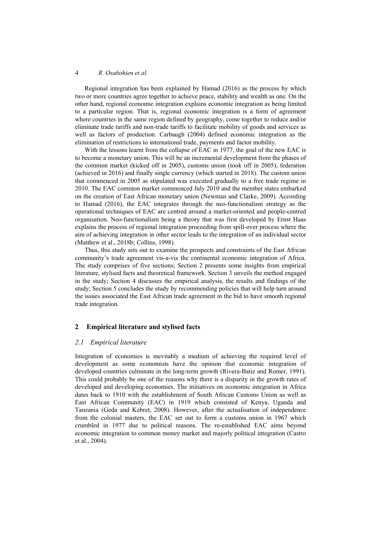Regional integration has been explained by Hamad (2016) as the process by which two or more countries agree together to achieve peace, stability and wealth as one. On the other hand, regional economic integration explains economic integration as being limited to a particular region. That is, regional economic integration is a form of agreement where countries in the same region defined by geography, come together to reduce and/or eliminate trade tariffs and non-trade tariffs to facilitate mobility of goods and services as well as factors of production. Carbaugh (2004) defined economic integration as the elimination of restrictions to international trade, payments and factor mobility.

With the lessons learnt from the collapse of EAC in 1977, the goal of the new EAC is to become a monetary union. This will be an incremental development from the phases of the common market (kicked off in 2005), customs union (took off in 2005), federation (achieved in 2016) and finally single currency (which started in 2018). The custom union that commenced in 2005 as stipulated was executed gradually to a free trade regime in 2010. The EAC common market commenced July 2010 and the member states embarked on the creation of East African monetary union (Newman and Clarke, 2009). According to Hamad (2016), the EAC integrates through the neo-functionalism strategy as the operational techniques of EAC are centred around a market-oriented and people-centred organisation. Neo-functionalism being a theory that was first developed by Ernst Haas explains the process of regional integration proceeding from spill-over process where the aim of achieving integration in other sector leads to the integration of an individual sector (Matthew et al., 2018b; Collins, 1998).

Thus, this study sets out to examine the prospects and constraints of the East African community's trade agreement vis-a-vis the continental economic integration of Africa. The study comprises of five sections; Section 2 presents some insights from empirical literature, stylised facts and theoretical framework. Section 3 unveils the method engaged in the study; Section 4 discusses the empirical analysis, the results and findings of the study; Section 5 concludes the study by recommending policies that will help turn around the issues associated the East African trade agreement in the bid to have smooth regional trade integration.

### **2 Empirical literature and stylised facts**

### *2.1 Empirical literature*

Integration of economies is inevitably a medium of achieving the required level of development as some economists have the opinion that economic integration of developed countries culminate in the long-term growth (Rivera-Batiz and Romer, 1991). This could probably be one of the reasons why there is a disparity in the growth rates of developed and developing economies. The initiatives on economic integration in Africa dates back to 1910 with the establishment of South African Customs Union as well as East African Community (EAC) in 1919 which consisted of Kenya, Uganda and Tanzania (Geda and Kebret, 2008). However, after the actualisation of independence from the colonial masters, the EAC set out to form a customs union in 1967 which crumbled in 1977 due to political reasons. The re-established EAC aims beyond economic integration to common money market and majorly political integration (Castro et al., 2004).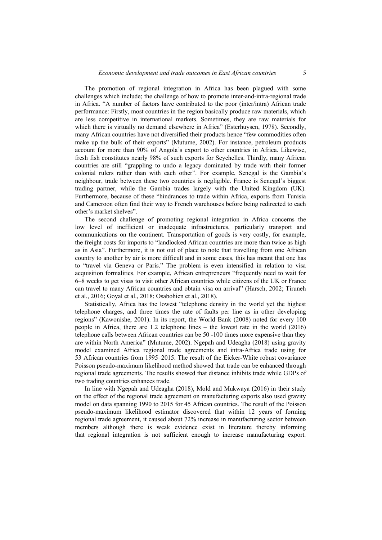The promotion of regional integration in Africa has been plagued with some challenges which include; the challenge of how to promote inter-and-intra-regional trade in Africa. "A number of factors have contributed to the poor (inter/intra) African trade performance: Firstly, most countries in the region basically produce raw materials, which are less competitive in international markets. Sometimes, they are raw materials for which there is virtually no demand elsewhere in Africa" (Esterhuysen, 1978). Secondly, many African countries have not diversified their products hence "few commodities often make up the bulk of their exports" (Mutume, 2002). For instance, petroleum products account for more than 90% of Angola's export to other countries in Africa. Likewise, fresh fish constitutes nearly 98% of such exports for Seychelles. Thirdly, many African countries are still "grappling to undo a legacy dominated by trade with their former colonial rulers rather than with each other". For example, Senegal is the Gambia's neighbour, trade between these two countries is negligible. France is Senegal's biggest trading partner, while the Gambia trades largely with the United Kingdom (UK). Furthermore, because of these "hindrances to trade within Africa, exports from Tunisia and Cameroon often find their way to French warehouses before being redirected to each other's market shelves".

The second challenge of promoting regional integration in Africa concerns the low level of inefficient or inadequate infrastructures, particularly transport and communications on the continent. Transportation of goods is very costly, for example, the freight costs for imports to "landlocked African countries are more than twice as high as in Asia". Furthermore, it is not out of place to note that travelling from one African country to another by air is more difficult and in some cases, this has meant that one has to "travel via Geneva or Paris." The problem is even intensified in relation to visa acquisition formalities. For example, African entrepreneurs "frequently need to wait for 6–8 weeks to get visas to visit other African countries while citizens of the UK or France can travel to many African countries and obtain visa on arrival" (Harsch, 2002; Tiruneh et al., 2016; Goyal et al., 2018; Osabohien et al., 2018).

Statistically, Africa has the lowest "telephone density in the world yet the highest telephone charges, and three times the rate of faults per line as in other developing regions" (Kawonishe, 2001). In its report, the World Bank (2008) noted for every 100 people in Africa, there are 1.2 telephone lines – the lowest rate in the world (2016) telephone calls between African countries can be 50 -100 times more expensive than they are within North America" (Mutume, 2002). Ngepah and Udeagha (2018) using gravity model examined Africa regional trade agreements and intra-Africa trade using for 53 African countries from 1995–2015. The result of the Eicker-White robust covariance Poisson pseudo-maximum likelihood method showed that trade can be enhanced through regional trade agreements. The results showed that distance inhibits trade while GDPs of two trading countries enhances trade.

In line with Ngepah and Udeagha (2018), Mold and Mukwaya (2016) in their study on the effect of the regional trade agreement on manufacturing exports also used gravity model on data spanning 1990 to 2015 for 45 African countries. The result of the Poisson pseudo-maximum likelihood estimator discovered that within 12 years of forming regional trade agreement, it caused about 72% increase in manufacturing sector between members although there is weak evidence exist in literature thereby informing that regional integration is not sufficient enough to increase manufacturing export.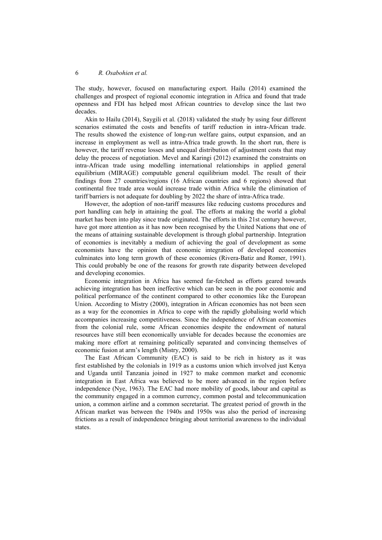The study, however, focused on manufacturing export. Hailu (2014) examined the challenges and prospect of regional economic integration in Africa and found that trade openness and FDI has helped most African countries to develop since the last two decades.

Akin to Hailu (2014), Saygili et al. (2018) validated the study by using four different scenarios estimated the costs and benefits of tariff reduction in intra-African trade. The results showed the existence of long-run welfare gains, output expansion, and an increase in employment as well as intra-Africa trade growth. In the short run, there is however, the tariff revenue losses and unequal distribution of adjustment costs that may delay the process of negotiation. Mevel and Karingi (2012) examined the constraints on intra-African trade using modelling international relationships in applied general equilibrium (MIRAGE) computable general equilibrium model. The result of their findings from 27 countries/regions (16 African countries and 6 regions) showed that continental free trade area would increase trade within Africa while the elimination of tariff barriers is not adequate for doubling by 2022 the share of intra-Africa trade.

However, the adoption of non-tariff measures like reducing customs procedures and port handling can help in attaining the goal. The efforts at making the world a global market has been into play since trade originated. The efforts in this 21st century however, have got more attention as it has now been recognised by the United Nations that one of the means of attaining sustainable development is through global partnership. Integration of economies is inevitably a medium of achieving the goal of development as some economists have the opinion that economic integration of developed economies culminates into long term growth of these economies (Rivera-Batiz and Romer, 1991). This could probably be one of the reasons for growth rate disparity between developed and developing economies.

Economic integration in Africa has seemed far-fetched as efforts geared towards achieving integration has been ineffective which can be seen in the poor economic and political performance of the continent compared to other economies like the European Union. According to Mistry (2000), integration in African economies has not been seen as a way for the economies in Africa to cope with the rapidly globalising world which accompanies increasing competitiveness. Since the independence of African economies from the colonial rule, some African economies despite the endowment of natural resources have still been economically unviable for decades because the economies are making more effort at remaining politically separated and convincing themselves of economic fusion at arm's length (Mistry, 2000).

The East African Community (EAC) is said to be rich in history as it was first established by the colonials in 1919 as a customs union which involved just Kenya and Uganda until Tanzania joined in 1927 to make common market and economic integration in East Africa was believed to be more advanced in the region before independence (Nye, 1963). The EAC had more mobility of goods, labour and capital as the community engaged in a common currency, common postal and telecommunication union, a common airline and a common secretariat. The greatest period of growth in the African market was between the 1940s and 1950s was also the period of increasing frictions as a result of independence bringing about territorial awareness to the individual states.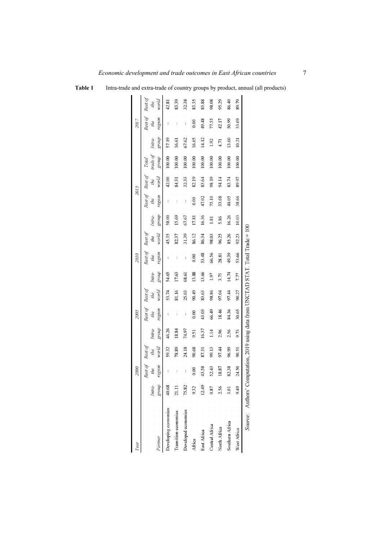**Table 1** Intra-trade and extra-trade of country groups by product, annual (all products)

| Year                 |                                                                                   | 2000                     |                         |                 | 2005                     |                        |                 | 2010                     |                         |                 |                          | 2015                    |                            |                 | 2017                     |                         |
|----------------------|-----------------------------------------------------------------------------------|--------------------------|-------------------------|-----------------|--------------------------|------------------------|-----------------|--------------------------|-------------------------|-----------------|--------------------------|-------------------------|----------------------------|-----------------|--------------------------|-------------------------|
| Partner              | Intra-<br>dno.f8                                                                  | Rest of<br>region<br>the | Rest of<br>world<br>the | group<br>Intra- | Rest of<br>region<br>the | Rest of<br>word<br>the | group<br>Intra- | Rest of<br>region<br>the | Rest of<br>world<br>the | group<br>Intra- | Rest of<br>region<br>the | Rest of<br>world<br>the | trade of<br>group<br>Total | group<br>Intra- | Rest of<br>region<br>the | Rest of<br>world<br>the |
| Developing economies | 40.68                                                                             | I                        | 59.32                   | 46.26           | I                        | 53.74                  | 54.65           | I                        | 45.35                   | 58.00           | I                        | 42.00                   | 100.00                     | 57.19           |                          | 42.81                   |
| Transition economies | 21.11                                                                             | $\overline{\phantom{a}}$ | 78.89                   | 18.84           | I                        | 81.16                  | 17.63           | $\overline{\phantom{a}}$ | 82.37                   | 15.69           | $\overline{\phantom{a}}$ | 8431                    | 100.00                     | 16.61           | I                        | 83.39                   |
| Developed economies  | 75.82                                                                             | I                        | 24.18                   | 74.97           | I                        | 25.03                  | 68.61           | $\overline{\phantom{a}}$ | 31.39                   | 67.67           | $\overline{\phantom{a}}$ | 32.33                   | 100.00                     | 67.62           | I                        | 32.38                   |
| Africa               | 9.32                                                                              | 0.00                     | 90.68                   | 9.51            | 0.00                     | 90.49                  | 13.88           | 0.00                     | 86.12                   | 17.81           | 0.00                     | 82.19                   | 100.00                     | 16.65           | 0.00                     | 83.35                   |
| East Africa          | 12.49                                                                             | 43.58                    | 87.51                   | 16.37           | 43.03                    | 83.63                  | 13.66           | 53.48                    | 86.34                   | 16.36           | 47.02                    | 83.64                   | 100.00                     | 14.12           | 49.48                    | 85.88                   |
| Central Africa       | 0.87                                                                              | 52.43                    | 99.13                   | 1.14            | 66.49                    | 98.86                  | 1.97            | 66.56                    | 98.03                   | 1.81            | 75.10                    | 98.19                   | 100.00                     | 1.92            | 77.55                    | 98.08                   |
| North Africa         | 2.56                                                                              | 18.87                    | 97.44                   | 2.96            | 18.46                    | 97.04                  | 3.75            | 28.81                    | 96.25                   | 5.86            | 33.68                    | 94.14                   | 100.00                     | 4.71            | 42.17                    | 95.29                   |
| Southern Africa      | 3.01                                                                              | 82.38                    | 96.99                   | 2.56            | 84.36                    | 97.44                  | 14.74           | 49.39                    | 85.26                   | 16.26           | 48.05                    | 83.74                   | 100.00                     | 13.60           | 50.99                    | 86.40                   |
| West Africa          | 9.49                                                                              | 24.50                    | 90.51                   | 9.73            | 30.65                    | 90.27                  | 7.77            | 53.66                    | 92.23                   | 10.03           | 38.66                    | 89.97                   | 100.00                     | 10.21           | 33.69                    | 89.79                   |
|                      | Source: Authors' Computation, 2019 using data from UNCTAD STAT. Total Trade = 100 |                          |                         |                 |                          |                        |                 |                          |                         |                 |                          |                         |                            |                 |                          |                         |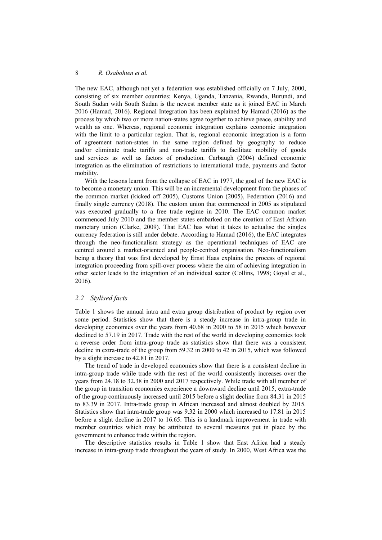The new EAC, although not yet a federation was established officially on 7 July, 2000, consisting of six member countries; Kenya, Uganda, Tanzania, Rwanda, Burundi, and South Sudan with South Sudan is the newest member state as it joined EAC in March 2016 (Hamad, 2016). Regional Integration has been explained by Hamad (2016) as the process by which two or more nation-states agree together to achieve peace, stability and wealth as one. Whereas, regional economic integration explains economic integration with the limit to a particular region. That is, regional economic integration is a form of agreement nation-states in the same region defined by geography to reduce and/or eliminate trade tariffs and non-trade tariffs to facilitate mobility of goods and services as well as factors of production. Carbaugh (2004) defined economic integration as the elimination of restrictions to international trade, payments and factor mobility.

With the lessons learnt from the collapse of EAC in 1977, the goal of the new EAC is to become a monetary union. This will be an incremental development from the phases of the common market (kicked off 2005), Customs Union (2005), Federation (2016) and finally single currency (2018). The custom union that commenced in 2005 as stipulated was executed gradually to a free trade regime in 2010. The EAC common market commenced July 2010 and the member states embarked on the creation of East African monetary union (Clarke, 2009). That EAC has what it takes to actualise the singles currency federation is still under debate. According to Hamad (2016), the EAC integrates through the neo-functionalism strategy as the operational techniques of EAC are centred around a market-oriented and people-centred organisation. Neo-functionalism being a theory that was first developed by Ernst Haas explains the process of regional integration proceeding from spill-over process where the aim of achieving integration in other sector leads to the integration of an individual sector (Collins, 1998; Goyal et al., 2016).

### *2.2 Stylised facts*

Table 1 shows the annual intra and extra group distribution of product by region over some period. Statistics show that there is a steady increase in intra-group trade in developing economies over the years from 40.68 in 2000 to 58 in 2015 which however declined to 57.19 in 2017. Trade with the rest of the world in developing economies took a reverse order from intra-group trade as statistics show that there was a consistent decline in extra-trade of the group from 59.32 in 2000 to 42 in 2015, which was followed by a slight increase to 42.81 in 2017.

The trend of trade in developed economies show that there is a consistent decline in intra-group trade while trade with the rest of the world consistently increases over the years from 24.18 to 32.38 in 2000 and 2017 respectively. While trade with all member of the group in transition economies experience a downward decline until 2015, extra-trade of the group continuously increased until 2015 before a slight decline from 84.31 in 2015 to 83.39 in 2017. Intra-trade group in African increased and almost doubled by 2015. Statistics show that intra-trade group was 9.32 in 2000 which increased to 17.81 in 2015 before a slight decline in 2017 to 16.65. This is a landmark improvement in trade with member countries which may be attributed to several measures put in place by the government to enhance trade within the region.

The descriptive statistics results in Table 1 show that East Africa had a steady increase in intra-group trade throughout the years of study. In 2000, West Africa was the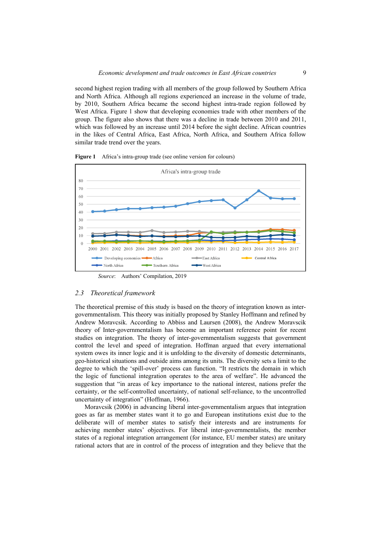second highest region trading with all members of the group followed by Southern Africa and North Africa. Although all regions experienced an increase in the volume of trade, by 2010, Southern Africa became the second highest intra-trade region followed by West Africa. Figure 1 show that developing economies trade with other members of the group. The figure also shows that there was a decline in trade between 2010 and 2011, which was followed by an increase until 2014 before the sight decline. African countries in the likes of Central Africa, East Africa, North Africa, and Southern Africa follow similar trade trend over the years.



**Figure 1** Africa's intra-group trade (see online version for colours)

*Source*: Authors' Compilation, 2019

### *2.3 Theoretical framework*

The theoretical premise of this study is based on the theory of integration known as intergovernmentalism. This theory was initially proposed by Stanley Hoffmann and refined by Andrew Moravcsik. According to Abbiss and Laursen (2008), the Andrew Moravscik theory of Inter-governmentalism has become an important reference point for recent studies on integration. The theory of inter-governmentalism suggests that government control the level and speed of integration. Hoffman argued that every international system owes its inner logic and it is unfolding to the diversity of domestic determinants, geo-historical situations and outside aims among its units. The diversity sets a limit to the degree to which the 'spill-over' process can function. "It restricts the domain in which the logic of functional integration operates to the area of welfare". He advanced the suggestion that "in areas of key importance to the national interest, nations prefer the certainty, or the self-controlled uncertainty, of national self-reliance, to the uncontrolled uncertainty of integration" (Hoffman, 1966).

Moravcsik (2006) in advancing liberal inter-governmentalism argues that integration goes as far as member states want it to go and European institutions exist due to the deliberate will of member states to satisfy their interests and are instruments for achieving member states' objectives. For liberal inter-governmentalists, the member states of a regional integration arrangement (for instance, EU member states) are unitary rational actors that are in control of the process of integration and they believe that the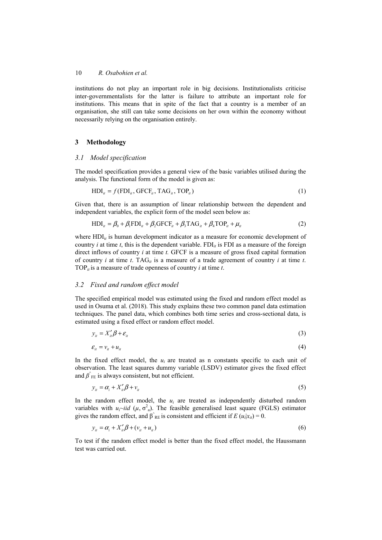institutions do not play an important role in big decisions. Institutionalists criticise inter-governmentalists for the latter is failure to attribute an important role for institutions. This means that in spite of the fact that a country is a member of an organisation, she still can take some decisions on her own within the economy without necessarily relying on the organisation entirely.

## **3 Methodology**

### *3.1 Model specification*

The model specification provides a general view of the basic variables utilised during the analysis. The functional form of the model is given as:

$$
\text{HDI}_{it} = f(\text{FDI}_{it}, \text{GFCF}_{it}, \text{TAG}_{it}, \text{TOP}_{it}) \tag{1}
$$

Given that, there is an assumption of linear relationship between the dependent and independent variables, the explicit form of the model seen below as:

$$
HDI_{ii} = \beta_0 + \beta_1 FDI_{ii} + \beta_2 GFCF_{ii} + \beta_3 TAG_{ii} + \beta_4 TOP_{ii} + \mu_{ii}
$$
 (2)

where HDI<sub>*it*</sub> is human development indicator as a measure for economic development of country *i* at time *t*, this is the dependent variable. FDI<sub>*it*</sub> is FDI as a measure of the foreign direct inflows of country *i* at time *t.* GFCF is a measure of gross fixed capital formation of country *i* at time *t*. TAG<sub>*it*</sub> is a measure of a trade agreement of country *i* at time *t*. TOP $_{it}$  is a measure of trade openness of country *i* at time *t*.

## *3.2 Fixed and random effect model*

The specified empirical model was estimated using the fixed and random effect model as used in Osuma et al. (2018). This study explains these two common panel data estimation techniques. The panel data, which combines both time series and cross-sectional data, is estimated using a fixed effect or random effect model.

$$
y_{it} = X_{it}' \beta + \varepsilon_{it} \tag{3}
$$

$$
\mathcal{E}_{it} = \mathcal{V}_{it} + \mathcal{U}_{it} \tag{4}
$$

In the fixed effect model, the  $u_i$  are treated as n constants specific to each unit of observation. The least squares dummy variable (LSDV) estimator gives the fixed effect and  $\beta$ <sup> $\hat{ }$ </sup><sub>FE</sub> is always consistent, but not efficient.

$$
y_{it} = \alpha_i + X_{it}' \beta + v_{it} \tag{5}
$$

In the random effect model, the  $u_i$  are treated as independently disturbed random variables with  $u_i \sim iid \ (\mu, \sigma^2 u)$ . The feasible generalised least square (FGLS) estimator gives the random effect, and  $\beta^{\hat{}}_{RE}$  is consistent and efficient if *E* ( $u_i|x_{ii}$ ) = 0.

$$
y_{it} = \alpha_i + X_{it}' \beta + (v_{it} + u_{it})
$$
\n<sup>(6)</sup>

To test if the random effect model is better than the fixed effect model, the Haussmann test was carried out.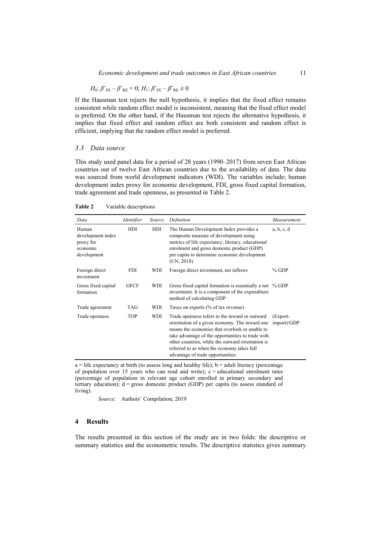$$
H_0: \beta^{\sim}{}_{FE} - \beta^{\sim}{}_{RE} = 0; H_1: \beta^{\sim}{}_{FE} - \beta^{\sim}{}_{RE} \neq 0
$$

If the Hausman test rejects the null hypothesis, it implies that the fixed effect remains consistent while random effect model is inconsistent, meaning that the fixed effect model is preferred. On the other hand, if the Hausman test rejects the alternative hypothesis, it implies that fixed effect and random effect are both consistent and random effect is efficient, implying that the random effect model is preferred.

### *3.3 Data source*

This study used panel data for a period of 28 years (1990–2017) from seven East African countries out of twelve East African countries due to the availability of data. The data was sourced from world development indicators (WDI). The variables include; human development index proxy for economic development, FDI, gross fixed capital formation, trade agreement and trade openness, as presented in Table 2.

| Data                                                               | Identifier  | Source | Definition                                                                                                                                                                                                                                                                                                                                      | Measurement             |
|--------------------------------------------------------------------|-------------|--------|-------------------------------------------------------------------------------------------------------------------------------------------------------------------------------------------------------------------------------------------------------------------------------------------------------------------------------------------------|-------------------------|
| Human<br>development index<br>proxy for<br>economic<br>development | HDI         | HDI    | The Human Development Index provides a<br>composite measure of development using<br>metrics of life expectancy, literacy, educational<br>enrolment and gross domestic product (GDP)<br>per capita to determine economic development<br>(UN, 2018)                                                                                               | a, b, c, d              |
| Foreign direct<br>investment                                       | <b>FDI</b>  | WDI    | Foreign direct investment, net inflows                                                                                                                                                                                                                                                                                                          | $%$ GDP                 |
| Gross fixed capital<br>formation                                   | <b>GFCF</b> | WDI    | Gross fixed capital formation is essentially a net % GDP<br>investment. It is a component of the expenditure<br>method of calculating GDP                                                                                                                                                                                                       |                         |
| Trade agreement                                                    | <b>TAG</b>  | WDI    | Taxes on exports (% of tax revenue)                                                                                                                                                                                                                                                                                                             |                         |
| Trade openness                                                     | <b>TOP</b>  | WDI    | Trade openness refers to the inward or outward<br>orientation of a given economy. The inward one<br>means the economies that overlook or unable to<br>take advantage of the opportunities to trade with<br>other countries, while the outward orientation is<br>referred to as when the economy takes full<br>advantage of trade opportunities. | (Export-<br>import)/GDP |

**Table 2** Variable descriptions

 $a =$  life expectancy at birth (to assess long and healthy life);  $b =$  adult literacy (percentage of population over 15 years who can read and write);  $c =$  educational enrolment rates (percentage of population in relevant age cohort enrolled in primary secondary and tertiary education);  $d =$  gross domestic product (GDP) per capita (to assess standard of living).

*Source*: Authors' Compilation, 2019

### **4 Results**

The results presented in this section of the study are in two folds: the descriptive or summary statistics and the econometric results. The descriptive statistics gives summary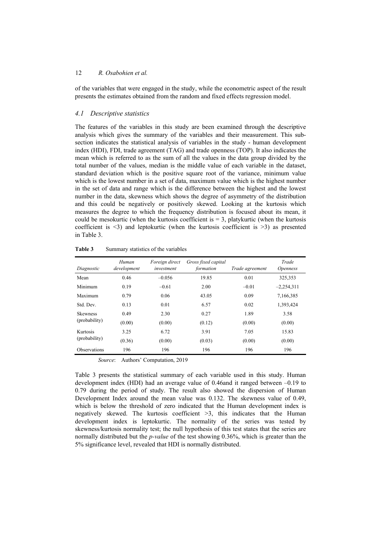of the variables that were engaged in the study, while the econometric aspect of the result presents the estimates obtained from the random and fixed effects regression model.

## *4.1 Descriptive statistics*

The features of the variables in this study are been examined through the descriptive analysis which gives the summary of the variables and their measurement. This subsection indicates the statistical analysis of variables in the study - human development index (HDI), FDI, trade agreement (TAG) and trade openness (TOP). It also indicates the mean which is referred to as the sum of all the values in the data group divided by the total number of the values, median is the middle value of each variable in the dataset, standard deviation which is the positive square root of the variance, minimum value which is the lowest number in a set of data, maximum value which is the highest number in the set of data and range which is the difference between the highest and the lowest number in the data, skewness which shows the degree of asymmetry of the distribution and this could be negatively or positively skewed. Looking at the kurtosis which measures the degree to which the frequency distribution is focused about its mean, it could be mesokurtic (when the kurtosis coefficient is  $= 3$ , platykurtic (when the kurtosis coefficient is  $\leq$ 3) and leptokurtic (when the kurtosis coefficient is  $\geq$ 3) as presented in Table 3.

| Diagnostic          | Human<br>development | Foreign direct<br>investment | Gross fixed capital<br>formation | Trade agreement | Trade<br><i>Openness</i> |
|---------------------|----------------------|------------------------------|----------------------------------|-----------------|--------------------------|
| Mean                | 0.46                 | $-0.056$                     | 19.85                            | 0.01            | 325,353                  |
| Minimum             | 0.19                 | $-0.61$                      | 2.00                             | $-0.01$         | $-2,254,311$             |
| Maximum             | 0.79                 | 0.06                         | 43.05                            | 0.09            | 7,166,385                |
| Std. Dev.           | 0.13                 | 0.01                         | 6.57                             | 0.02            | 1,393,424                |
| <b>Skewness</b>     | 0.49                 | 2.30                         | 0.27                             | 1.89            | 3.58                     |
| (probability)       | (0.00)               | (0.00)                       | (0.12)                           | (0.00)          | (0.00)                   |
| Kurtosis            | 3.25                 | 6.72                         | 3.91                             | 7.05            | 15.83                    |
| (probability)       | (0.36)               | (0.00)                       | (0.03)                           | (0.00)          | (0.00)                   |
| <b>Observations</b> | 196                  | 196                          | 196                              | 196             | 196                      |

Table 3 Summary statistics of the variables

*Source*: Authors' Computation, 2019

Table 3 presents the statistical summary of each variable used in this study. Human development index (HDI) had an average value of 0.46and it ranged between –0.19 to 0.79 during the period of study. The result also showed the dispersion of Human Development Index around the mean value was 0.132. The skewness value of 0.49, which is below the threshold of zero indicated that the Human development index is negatively skewed. The kurtosis coefficient  $\geq$ 3, this indicates that the Human development index is leptokurtic. The normality of the series was tested by skewness/kurtosis normality test; the null hypothesis of this test states that the series are normally distributed but the *p-value* of the test showing 0.36%, which is greater than the 5% significance level, revealed that HDI is normally distributed.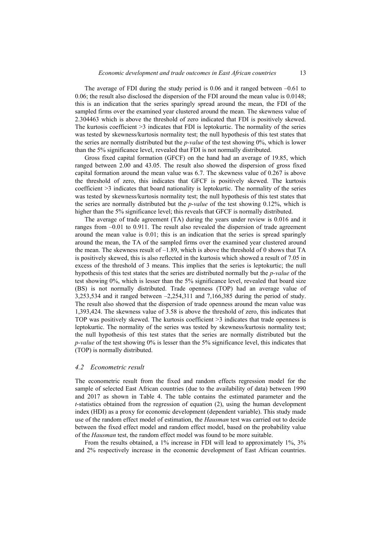The average of FDI during the study period is 0.06 and it ranged between  $-0.61$  to 0.06; the result also disclosed the dispersion of the FDI around the mean value is 0.0148; this is an indication that the series sparingly spread around the mean, the FDI of the sampled firms over the examined year clustered around the mean. The skewness value of 2.304463 which is above the threshold of zero indicated that FDI is positively skewed. The kurtosis coefficient >3 indicates that FDI is leptokurtic. The normality of the series was tested by skewness/kurtosis normality test; the null hypothesis of this test states that the series are normally distributed but the *p-value* of the test showing 0%, which is lower than the 5% significance level, revealed that FDI is not normally distributed.

Gross fixed capital formation (GFCF) on the hand had an average of 19.85, which ranged between 2.00 and 43.05. The result also showed the dispersion of gross fixed capital formation around the mean value was 6.7. The skewness value of 0.267 is above the threshold of zero, this indicates that GFCF is positively skewed. The kurtosis coefficient >3 indicates that board nationality is leptokurtic. The normality of the series was tested by skewness/kurtosis normality test; the null hypothesis of this test states that the series are normally distributed but the *p-value* of the test showing 0.12%, which is higher than the 5% significance level; this reveals that GFCF is normally distributed.

The average of trade agreement (TA) during the years under review is 0.016 and it ranges from –0.01 to 0.911. The result also revealed the dispersion of trade agreement around the mean value is 0.01; this is an indication that the series is spread sparingly around the mean, the TA of the sampled firms over the examined year clustered around the mean. The skewness result of  $-1.89$ , which is above the threshold of 0 shows that TA is positively skewed, this is also reflected in the kurtosis which showed a result of 7.05 in excess of the threshold of 3 means. This implies that the series is leptokurtic; the null hypothesis of this test states that the series are distributed normally but the *p-value* of the test showing 0%, which is lesser than the 5% significance level, revealed that board size (BS) is not normally distributed. Trade openness (TOP) had an average value of 3,253,534 and it ranged between –2,254,311 and 7,166,385 during the period of study. The result also showed that the dispersion of trade openness around the mean value was 1,393,424. The skewness value of 3.58 is above the threshold of zero, this indicates that TOP was positively skewed. The kurtosis coefficient >3 indicates that trade openness is leptokurtic. The normality of the series was tested by skewness/kurtosis normality test; the null hypothesis of this test states that the series are normally distributed but the *p-value* of the test showing 0% is lesser than the 5% significance level, this indicates that (TOP) is normally distributed.

#### *4.2 Econometric result*

The econometric result from the fixed and random effects regression model for the sample of selected East African countries (due to the availability of data) between 1990 and 2017 as shown in Table 4. The table contains the estimated parameter and the *t*-statistics obtained from the regression of equation (2), using the human development index (HDI) as a proxy for economic development (dependent variable). This study made use of the random effect model of estimation, the *Hausman* test was carried out to decide between the fixed effect model and random effect model, based on the probability value of the *Hausman* test, the random effect model was found to be more suitable.

From the results obtained, a 1% increase in FDI will lead to approximately 1%, 3% and 2% respectively increase in the economic development of East African countries.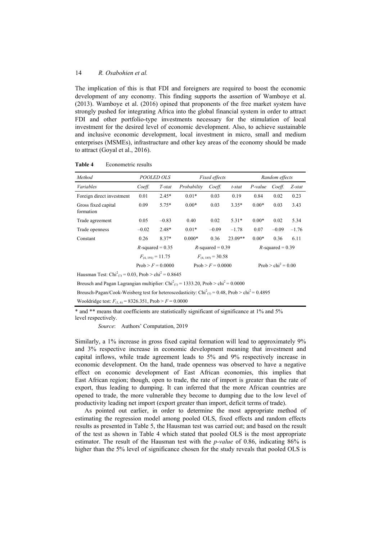The implication of this is that FDI and foreigners are required to boost the economic development of any economy. This finding supports the assertion of Wamboye et al. (2013). Wamboye et al. (2016) opined that proponents of the free market system have strongly pushed for integrating Africa into the global financial system in order to attract FDI and other portfolio-type investments necessary for the stimulation of local investment for the desired level of economic development. Also, to achieve sustainable and inclusive economic development, local investment in micro, small and medium enterprises (MSMEs), infrastructure and other key areas of the economy should be made to attract (Goyal et al., 2016).

| Method                                                                                                           |         | POOLED OLS            |             | Fixed effects         |           |         | Random effects                   |         |
|------------------------------------------------------------------------------------------------------------------|---------|-----------------------|-------------|-----------------------|-----------|---------|----------------------------------|---------|
| Variables                                                                                                        | Coeff.  | T-stat                | Probability | Coeff.                | t-stat    | P-value | Coeff.                           | Z-stat  |
| Foreign direct investment                                                                                        | 0.01    | $2.45*$               | $0.01*$     | 0.03                  | 0.19      | 0.84    | 0.02                             | 0.23    |
| Gross fixed capital<br>formation                                                                                 | 0.09    | $5.75*$               | $0.00*$     | 0.03                  | $3.35*$   | $0.00*$ | 0.03                             | 3.43    |
| Trade agreement                                                                                                  | 0.05    | $-0.83$               | 0.40        | 0.02                  | $5.31*$   | $0.00*$ | 0.02                             | 5.34    |
| Trade openness                                                                                                   | $-0.02$ | $2.48*$               | $0.01*$     | $-0.09$               | $-1.78$   | 0.07    | $-0.09$                          | $-1.76$ |
| Constant                                                                                                         | 0.26    | $8.37*$               | $0.000*$    | 0.36                  | $23.09**$ | $0.00*$ | 0.36                             | 6.11    |
|                                                                                                                  |         | $R$ -squared = 0.35   |             | $R$ -squared = 0.39   |           |         | $R$ -squared = 0.39              |         |
|                                                                                                                  |         | $F_{(4-191)} = 11.75$ |             | $F_{(4.185)} = 30.58$ |           |         |                                  |         |
|                                                                                                                  |         | $Prob > F = 0.0000$   |             | $Prob > F = 0.0000$   |           |         | Prob $>$ chi <sup>2</sup> = 0.00 |         |
| Hausman Test: $Chi2(1) = 0.03$ , Prob > chi <sup>2</sup> = 0.8645                                                |         |                       |             |                       |           |         |                                  |         |
| Breusch and Pagan Lagrangian multiplier: $Chi2(1) = 1333.20$ , Prob > chi <sup>2</sup> = 0.0000                  |         |                       |             |                       |           |         |                                  |         |
| Breusch-Pagan/Cook-Weisberg test for heteroscedasticity: $Chi_{(1)}^2 = 0.48$ , Prob > chi <sup>2</sup> = 0.4895 |         |                       |             |                       |           |         |                                  |         |
| Wooldridge test: $F_{(1,6)} = 8326.351$ , Prob > $F = 0.0000$                                                    |         |                       |             |                       |           |         |                                  |         |

Table 4 Econometric results

\* and \*\* means that coefficients are statistically significant of significance at 1% and 5% level respectively.

*Source*: Authors' Computation, 2019

Similarly, a 1% increase in gross fixed capital formation will lead to approximately 9% and 3% respective increase in economic development meaning that investment and capital inflows, while trade agreement leads to 5% and 9% respectively increase in economic development. On the hand, trade openness was observed to have a negative effect on economic development of East African economies, this implies that East African region; though, open to trade, the rate of import is greater than the rate of export, thus leading to dumping. It can inferred that the more African countries are opened to trade, the more vulnerable they become to dumping due to the low level of productivity leading net import (export greater than import, deficit terms of trade).

As pointed out earlier, in order to determine the most appropriate method of estimating the regression model among pooled OLS, fixed effects and random effects results as presented in Table 5, the Hausman test was carried out; and based on the result of the test as shown in Table 4 which stated that pooled OLS is the most appropriate estimator. The result of the Hausman test with the *p-value* of 0.86, indicating 86% is higher than the 5% level of significance chosen for the study reveals that pooled OLS is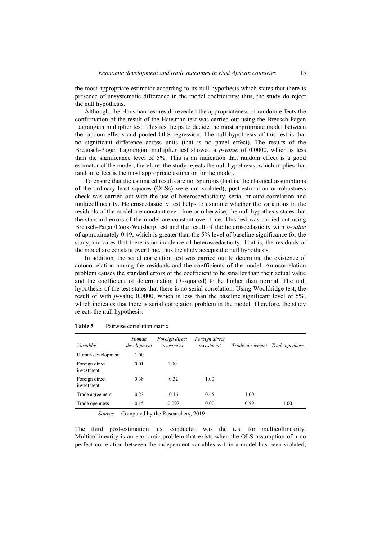the most appropriate estimator according to its null hypothesis which states that there is presence of unsystematic difference in the model coefficients; thus, the study do reject the null hypothesis.

Although, the Hausman test result revealed the appropriateness of random effects the confirmation of the result of the Hausman test was carried out using the Breusch-Pagan Lagrangian multiplier test. This test helps to decide the most appropriate model between the random effects and pooled OLS regression. The null hypothesis of this test is that no significant difference across units (that is no panel effect). The results of the Breausch-Pagan Lagrangian multiplier test showed a *p-value* of 0.0000, which is less than the significance level of 5%. This is an indication that random effect is a good estimator of the model; therefore, the study rejects the null hypothesis, which implies that random effect is the most appropriate estimator for the model.

To ensure that the estimated results are not spurious (that is, the classical assumptions of the ordinary least squares (OLSs) were not violated); post-estimation or robustness check was carried out with the use of heteroscedasticity, serial or auto-correlation and multicollinearity. Heteroscedasticity test helps to examine whether the variations in the residuals of the model are constant over time or otherwise; the null hypothesis states that the standard errors of the model are constant over time. This test was carried out using Breusch-Pagan/Cook-Weisberg test and the result of the heteroscedasticity with *p-value* of approximately 0.49, which is greater than the 5% level of baseline significance for the study, indicates that there is no incidence of heteroscedasticity. That is, the residuals of the model are constant over time, thus the study accepts the null hypothesis.

In addition, the serial correlation test was carried out to determine the existence of autocorrelation among the residuals and the coefficients of the model. Autocorrelation problem causes the standard errors of the coefficient to be smaller than their actual value and the coefficient of determination (R-squared) to be higher than normal. The null hypothesis of the test states that there is no serial correlation. Using Wooldridge test, the result of with *p*-value 0.0000, which is less than the baseline significant level of 5%, which indicates that there is serial correlation problem in the model. Therefore, the study rejects the null hypothesis.

| Variables                    | Human<br>development | Foreign direct<br>investment | Foreign direct<br>investment | Trade agreement Trade openness |      |
|------------------------------|----------------------|------------------------------|------------------------------|--------------------------------|------|
| Human development            | 1.00                 |                              |                              |                                |      |
| Foreign direct<br>investment | 0.01                 | 1.00                         |                              |                                |      |
| Foreign direct<br>investment | 0.38                 | $-0.32$                      | 1.00                         |                                |      |
| Trade agreement              | 0.23                 | $-0.16$                      | 0.45                         | 1.00                           |      |
| Trade openness               | 0.15                 | $-0.092$                     | 0.00                         | 0.59                           | 1.00 |

**Table 5** Pairwise correlation matrix

*Source*: Computed by the Researchers, 2019

The third post-estimation test conducted was the test for multicollinearity. Multicollinearity is an economic problem that exists when the OLS assumption of a no perfect correlation between the independent variables within a model has been violated,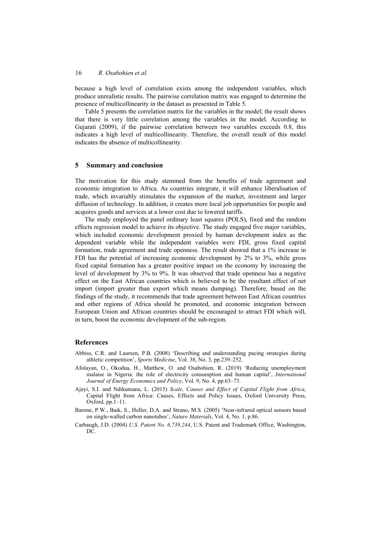because a high level of correlation exists among the independent variables, which produce unrealistic results. The pairwise correlation matrix was engaged to determine the presence of multicollinearity in the dataset as presented in Table 5.

Table 5 presents the correlation matrix for the variables in the model; the result shows that there is very little correlation among the variables in the model. According to Gujarati (2009), if the pairwise correlation between two variables exceeds 0.8, this indicates a high level of multicollinearity. Therefore, the overall result of this model indicates the absence of multicollinearity.

### **5 Summary and conclusion**

The motivation for this study stemmed from the benefits of trade agreement and economic integration to Africa. As countries integrate, it will enhance liberalisation of trade, which invariably stimulates the expansion of the market, investment and larger diffusion of technology. In addition, it creates more local job opportunities for people and acquires goods and services at a lower cost due to lowered tariffs.

The study employed the panel ordinary least squares (POLS), fixed and the random effects regression model to achieve its objective. The study engaged five major variables, which included economic development proxied by human development index as the dependent variable while the independent variables were FDI, gross fixed capital formation, trade agreement and trade openness. The result showed that a 1% increase in FDI has the potential of increasing economic development by 2% to 3%, while gross fixed capital formation has a greater positive impact on the economy by increasing the level of development by 3% to 9%. It was observed that trade openness has a negative effect on the East African countries which is believed to be the resultant effect of net import (import greater than export which means dumping). Therefore, based on the findings of the study, it recommends that trade agreement between East African countries and other regions of Africa should be promoted, and economic integration between European Union and African countries should be encouraged to attract FDI which will, in turn, boost the economic development of the sub-region.

### **References**

- Abbiss, C.R. and Laursen, P.B. (2008) 'Describing and understanding pacing strategies during athletic competition', *Sports Medicine*, Vol. 38, No. 3, pp.239–252.
- Afolayan, O., Okodua, H., Matthew, O. and Osabohien, R. (2019) 'Reducing unemployment malaise in Nigeria: the role of electricity consumption and human capital', *International Journal of Energy Economics and Policy*, Vol. 9, No. 4, pp.63–73.
- Ajayi, S.I. and Ndikumana, L. (2015) *Scale, Causes and Effect of Capital Flight from Africa*, Capital Flight from Africa: Causes, Effects and Policy Issues, Oxford University Press, Oxford, pp.1–11.
- Barone, P.W., Baik, S., Heller, D.A. and Strano, M.S. (2005) 'Near-infrared optical sensors based on single-walled carbon nanotubes', *Nature Materials*, Vol. 4, No. 1, p.86.
- Carbaugh, J.D. (2004) *U.S. Patent No. 6,739,244*, U.S. Patent and Trademark Office, Washington, DC.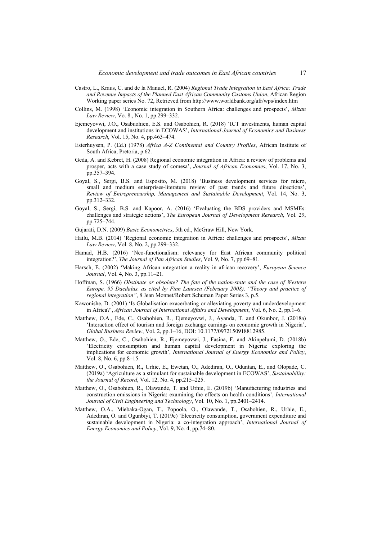- Castro, L., Kraus, C. and de la Manuel, R. (2004) *Regional Trade Integration in East Africa: Trade and Revenue Impacts of the Planned East African Community Customs Union*, African Region Working paper series No. 72, Retrieved from http://www.worldbank.org/afr/wps/index.htm
- Collins, M. (1998) 'Economic integration in Southern Africa: challenges and prospects', *Mizan Law Review*, Vo. 8., No. 1, pp.299–332.
- Ejemeyovwi, J.O., Osabuohien, E.S. and Osabohien, R. (2018) 'ICT investments, human capital development and institutions in ECOWAS', *International Journal of Economics and Business Research*, Vol. 15, No. 4, pp.463–474.
- Esterhuysen, P. (Ed.) (1978) *Africa A-Z Continental and Country Profiles*, African Institute of South Africa, Pretoria, p.62.
- Geda, A. and Kebret, H. (2008) Regional economic integration in Africa: a review of problems and prosper, acts with a case study of comesa', *Journal of African Economies*, Vol. 17, No. 3, pp.357–394.
- Goyal, S., Sergi, B.S. and Esposito, M. (2018) 'Business development services for micro, small and medium enterprises-literature review of past trends and future directions', *Review of Entrepreneurship, Management and Sustainable Development*, Vol. 14, No. 3, pp.312–332.
- Goyal, S., Sergi, B.S. and Kapoor, A. (2016) 'Evaluating the BDS providers and MSMEs: challenges and strategic actions', *The European Journal of Development Research*, Vol. 29, pp.725–744.
- Gujarati, D.N. (2009) *Basic Econometrics*, 5th ed., McGraw Hill, New York.
- Hailu, M.B. (2014) 'Regional economic integration in Africa: challenges and prospects', *Mizan Law Review*, Vol. 8, No. 2, pp.299–332.
- Hamad, H.B. (2016) 'Neo-functionalism: relevancy for East African community political integration?', *The Journal of Pan African Studies*, Vol. 9, No. 7, pp.69–81.
- Harsch, E. (2002) 'Making African ıntegration a reality in african recovery', *European Science Journal*, Vol. 4, No. 3, pp.11–21.
- Hoffman, S. (1966) *Obstinate or obsolete? The fate of the nation-state and the case of Western Europe, 95 Daedalus, as cited by Finn Laursen (February 2008), "Theory and practice of regional integration"*, 8 Jean Monnet/Robert Schuman Paper Series 3, p.5.
- Kawonishe, D. (2001) 'Is Globalisation exacerbating or alleviating poverty and underdevelopment in Africa?', *African Journal of International Affairs and Development*, Vol. 6, No. 2, pp.1–6.
- Matthew, O.A., Ede, C., Osabohien, R., Ejemeyovwi, J., Ayanda, T. and Okunbor, J. (2018a) 'Interaction effect of tourism and foreign exchange earnings on economic growth in Nigeria', *Global Business Review*, Vol. 2, pp.1–16, DOI: 10.1177/0972150918812985.
- Matthew, O., Ede, C., Osabohien, R., Ejemeyovwi, J., Fasina, F. and Akinpelumi, D. (2018b) 'Electricity consumption and human capital development in Nigeria: exploring the implications for economic growth', *International Journal of Energy Economics and Policy*, Vol. 8, No. 6, pp.8–15.
- Matthew, O., Osabohien, R.**,** Urhie, E., Ewetan, O., Adediran, O., Oduntan, E., and Olopade, C. (2019a) 'Agriculture as a stimulant for sustainable development in ECOWAS', *Sustainability: the Journal of Record*, Vol. 12, No. 4, pp.215–225.
- Matthew, O., Osabohien, R., Olawande, T. and Urhie, E. (2019b) 'Manufacturing industries and construction emissions in Nigeria: examining the effects on health conditions', *International Journal of Civil Engineering and Technology*, Vol. 10, No. 1, pp.2401–2414.
- Matthew, O.A., Miebaka-Ogan, T., Popoola, O., Olawande, T., Osabohien, R., Urhie, E., Adediran, O. and Ogunbiyi, T. (2019c) 'Electricity consumption, government expenditure and sustainable development in Nigeria: a co-integration approach', *International Journal of Energy Economics and Policy*, Vol. 9, No. 4, pp.74–80.